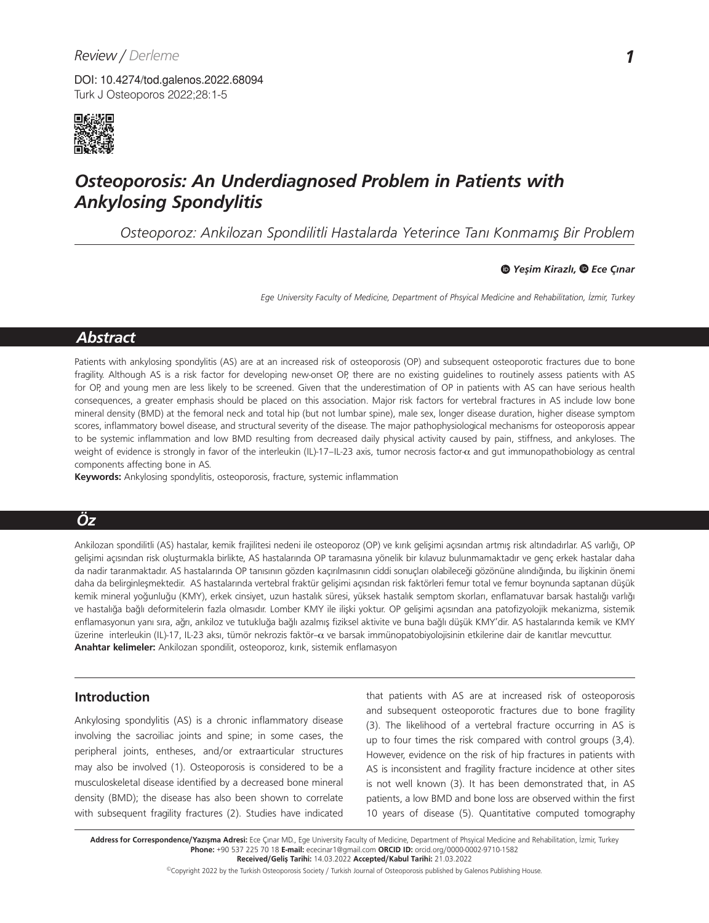Turk J Osteoporos 2022;28:1-5 DOI: 10.4274/tod.galenos.2022.68094



# *Osteoporosis: An Underdiagnosed Problem in Patients with Ankylosing Spondylitis*

*Osteoporoz: Ankilozan Spondilitli Hastalarda Yeterince Tanı Konmamış Bir Problem* 

*Yeşim Kirazlı, Ece Çınar*

*Ege University Faculty of Medicine, Department of Phsyical Medicine and Rehabilitation, İzmir, Turkey*

# *Abstract*

Patients with ankylosing spondylitis (AS) are at an increased risk of osteoporosis (OP) and subsequent osteoporotic fractures due to bone fragility. Although AS is a risk factor for developing new-onset OP, there are no existing guidelines to routinely assess patients with AS for OP, and young men are less likely to be screened. Given that the underestimation of OP in patients with AS can have serious health consequences, a greater emphasis should be placed on this association. Major risk factors for vertebral fractures in AS include low bone mineral density (BMD) at the femoral neck and total hip (but not lumbar spine), male sex, longer disease duration, higher disease symptom scores, inflammatory bowel disease, and structural severity of the disease. The major pathophysiological mechanisms for osteoporosis appear to be systemic inflammation and low BMD resulting from decreased daily physical activity caused by pain, stiffness, and ankyloses. The weight of evidence is strongly in favor of the interleukin (IL)-17–IL-23 axis, tumor necrosis factor-α and gut immunopathobiology as central components affecting bone in AS.

**Keywords:** Ankylosing spondylitis, osteoporosis, fracture, systemic inflammation

# *Öz*

Ankilozan spondilitli (AS) hastalar, kemik frajilitesi nedeni ile osteoporoz (OP) ve kırık gelişimi açısından artmış risk altındadırlar. AS varlığı, OP gelişimi açısından risk oluşturmakla birlikte, AS hastalarında OP taramasına yönelik bir kılavuz bulunmamaktadır ve genç erkek hastalar daha da nadir taranmaktadır. AS hastalarında OP tanısının gözden kaçırılmasının ciddi sonuçları olabileceği gözönüne alındığında, bu ilişkinin önemi daha da belirginleşmektedir. AS hastalarında vertebral fraktür gelişimi açısından risk faktörleri femur total ve femur boynunda saptanan düşük kemik mineral yoğunluğu (KMY), erkek cinsiyet, uzun hastalık süresi, yüksek hastalık semptom skorları, enflamatuvar barsak hastalığı varlığı ve hastalığa bağlı deformitelerin fazla olmasıdır. Lomber KMY ile ilişki yoktur. OP gelişimi açısından ana patofizyolojik mekanizma, sistemik enflamasyonun yanı sıra, ağrı, ankiloz ve tutukluğa bağlı azalmış fiziksel aktivite ve buna bağlı düşük KMY'dir. AS hastalarında kemik ve KMY üzerine interleukin (IL)-17, IL-23 aksı, tümör nekrozis faktör-α ve barsak immünopatobiyolojisinin etkilerine dair de kanıtlar mevcuttur. **Anahtar kelimeler:** Ankilozan spondilit, osteoporoz, kırık, sistemik enflamasyon

# **Introduction**

Ankylosing spondylitis (AS) is a chronic inflammatory disease involving the sacroiliac joints and spine; in some cases, the peripheral joints, entheses, and/or extraarticular structures may also be involved (1). Osteoporosis is considered to be a musculoskeletal disease identified by a decreased bone mineral density (BMD); the disease has also been shown to correlate with subsequent fragility fractures (2). Studies have indicated that patients with AS are at increased risk of osteoporosis and subsequent osteoporotic fractures due to bone fragility (3). The likelihood of a vertebral fracture occurring in AS is up to four times the risk compared with control groups (3,4). However, evidence on the risk of hip fractures in patients with AS is inconsistent and fragility fracture incidence at other sites is not well known (3). It has been demonstrated that, in AS patients, a low BMD and bone loss are observed within the first 10 years of disease (5). Quantitative computed tomography

Address for Correspondence/Yazışma Adresi: Ece Çınar MD., Ege University Faculty of Medicine, Department of Phsyical Medicine and Rehabilitation, İzmir, Turkey **Phone:** +90 537 225 70 18 **E-mail:** ececinar1@gmail.com **ORCID ID:** orcid.org/0000-0002-9710-1582 **Received/Geliş Tarihi:** 14.03.2022 **Accepted/Kabul Tarihi:** 21.03.2022

©Copyright 2022 by the Turkish Osteoporosis Society / Turkish Journal of Osteoporosis published by Galenos Publishing House.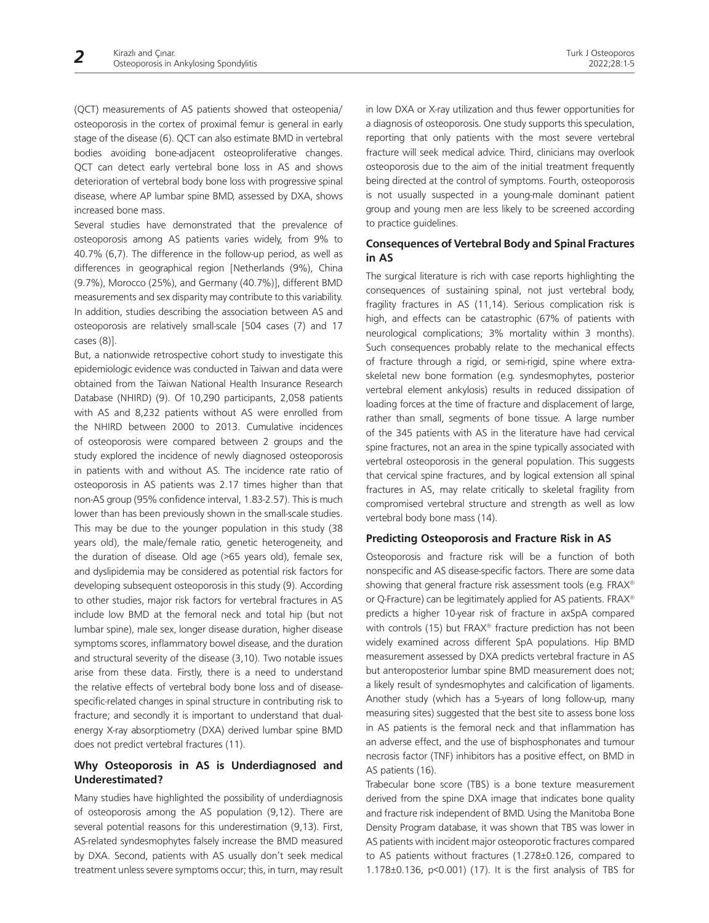(QCT) measurements of AS patients showed that osteopenia/ osteoporosis in the cortex of proximal femur is general in early stage of the disease (6). QCT can also estimate BMD in vertebral bodies avoiding bone-adjacent osteoproliferative changes. QCT can detect early vertebral bone loss in AS and shows deterioration of vertebral body bone loss with progressive spinal disease, where AP lumbar spine BMD, assessed by DXA, shows increased bone mass.

Several studies have demonstrated that the prevalence of osteoporosis among AS patients varies widely, from 9% to 40.7% (6,7). The difference in the follow-up period, as well as differences in geographical region [Netherlands (9%), China (9.7%), Morocco (25%), and Germany (40.7%)], different BMD measurements and sex disparity may contribute to this variability. In addition, studies describing the association between AS and osteoporosis are relatively small-scale [504 cases (7) and 17 cases (8)].

But, a nationwide retrospective cohort study to investigate this epidemiologic evidence was conducted in Taiwan and data were obtained from the Taiwan National Health Insurance Research Database (NHIRD) (9). Of 10,290 participants, 2,058 patients with AS and 8,232 patients without AS were enrolled from the NHIRD between 2000 to 2013. Cumulative incidences of osteoporosis were compared between 2 groups and the study explored the incidence of newly diagnosed osteoporosis in patients with and without AS. The incidence rate ratio of osteoporosis in AS patients was 2.17 times higher than that non-AS group (95% confidence interval, 1.83-2.57). This is much lower than has been previously shown in the small-scale studies. This may be due to the younger population in this study (38 years old), the male/female ratio, genetic heterogeneity, and the duration of disease. Old age (>65 years old), female sex, and dyslipidemia may be considered as potential risk factors for developing subsequent osteoporosis in this study (9). According to other studies, major risk factors for vertebral fractures in AS include low BMD at the femoral neck and total hip (but not lumbar spine), male sex, longer disease duration, higher disease symptoms scores, inflammatory bowel disease, and the duration and structural severity of the disease (3,10). Two notable issues arise from these data. Firstly, there is a need to understand the relative effects of vertebral body bone loss and of diseasespecific-related changes in spinal structure in contributing risk to fracture; and secondly it is important to understand that dualenergy X-ray absorptiometry (DXA) derived lumbar spine BMD does not predict vertebral fractures (11).

#### **Why Osteoporosis in AS is Underdiagnosed and Underestimated?**

Many studies have highlighted the possibility of underdiagnosis of osteoporosis among the AS population (9,12). There are several potential reasons for this underestimation (9,13). First, AS-related syndesmophytes falsely increase the BMD measured by DXA. Second, patients with AS usually don't seek medical treatment unless severe symptoms occur; this, in turn, may result in low DXA or X-ray utilization and thus fewer opportunities for a diagnosis of osteoporosis. One study supports this speculation, reporting that only patients with the most severe vertebral fracture will seek medical advice. Third, clinicians may overlook osteoporosis due to the aim of the initial treatment frequently being directed at the control of symptoms. Fourth, osteoporosis is not usually suspected in a young-male dominant patient group and young men are less likely to be screened according to practice guidelines.

## **Consequences of Vertebral Body and Spinal Fractures in AS**

The surgical literature is rich with case reports highlighting the consequences of sustaining spinal, not just vertebral body, fragility fractures in AS (11,14). Serious complication risk is high, and effects can be catastrophic (67% of patients with neurological complications; 3% mortality within 3 months). Such consequences probably relate to the mechanical effects of fracture through a rigid, or semi-rigid, spine where extraskeletal new bone formation (e.g. syndesmophytes, posterior vertebral element ankylosis) results in reduced dissipation of loading forces at the time of fracture and displacement of large, rather than small, segments of bone tissue. A large number of the 345 patients with AS in the literature have had cervical spine fractures, not an area in the spine typically associated with vertebral osteoporosis in the general population. This suggests that cervical spine fractures, and by logical extension all spinal fractures in AS, may relate critically to skeletal fragility from compromised vertebral structure and strength as well as low vertebral body bone mass (14).

#### **Predicting Osteoporosis and Fracture Risk in AS**

Osteoporosis and fracture risk will be a function of both nonspecific and AS disease-specific factors. There are some data showing that general fracture risk assessment tools (e.g. FRAX® or Q-Fracture) can be legitimately applied for AS patients. FRAX® predicts a higher 10-year risk of fracture in axSpA compared with controls (15) but FRAX® fracture prediction has not been widely examined across different SpA populations. Hip BMD measurement assessed by DXA predicts vertebral fracture in AS but anteroposterior lumbar spine BMD measurement does not; a likely result of syndesmophytes and calcification of ligaments. Another study (which has a 5-years of long follow-up, many measuring sites) suggested that the best site to assess bone loss in AS patients is the femoral neck and that inflammation has an adverse effect, and the use of bisphosphonates and tumour necrosis factor (TNF) inhibitors has a positive effect, on BMD in AS patients (16).

Trabecular bone score (TBS) is a bone texture measurement derived from the spine DXA image that indicates bone quality and fracture risk independent of BMD. Using the Manitoba Bone Density Program database, it was shown that TBS was lower in AS patients with incident major osteoporotic fractures compared to AS patients without fractures (1.278±0.126, compared to 1.178±0.136, p<0.001) (17). It is the first analysis of TBS for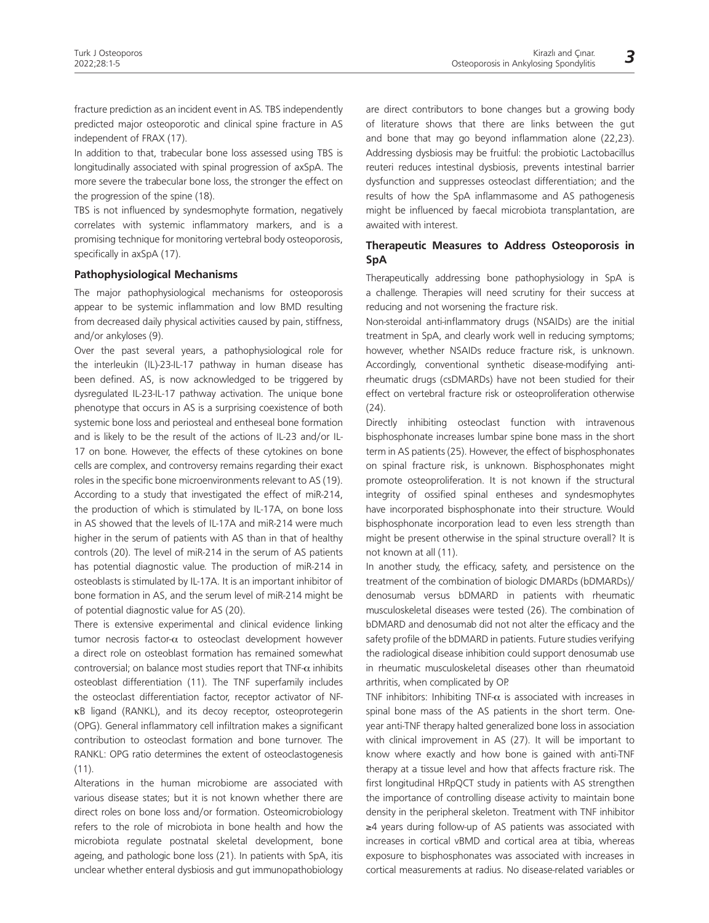fracture prediction as an incident event in AS. TBS independently predicted major osteoporotic and clinical spine fracture in AS independent of FRAX (17).

In addition to that, trabecular bone loss assessed using TBS is longitudinally associated with spinal progression of axSpA. The more severe the trabecular bone loss, the stronger the effect on the progression of the spine (18).

TBS is not influenced by syndesmophyte formation, negatively correlates with systemic inflammatory markers, and is a promising technique for monitoring vertebral body osteoporosis, specifically in axSpA (17).

#### **Pathophysiological Mechanisms**

The major pathophysiological mechanisms for osteoporosis appear to be systemic inflammation and low BMD resulting from decreased daily physical activities caused by pain, stiffness, and/or ankyloses (9).

Over the past several years, a pathophysiological role for the interleukin (IL)-23-IL-17 pathway in human disease has been defined. AS, is now acknowledged to be triggered by dysregulated IL-23-IL-17 pathway activation. The unique bone phenotype that occurs in AS is a surprising coexistence of both systemic bone loss and periosteal and entheseal bone formation and is likely to be the result of the actions of IL-23 and/or IL-17 on bone. However, the effects of these cytokines on bone cells are complex, and controversy remains regarding their exact roles in the specific bone microenvironments relevant to AS (19). According to a study that investigated the effect of miR-214, the production of which is stimulated by IL-17A, on bone loss in AS showed that the levels of IL-17A and miR-214 were much higher in the serum of patients with AS than in that of healthy controls (20). The level of miR-214 in the serum of AS patients has potential diagnostic value. The production of miR-214 in osteoblasts is stimulated by IL-17A. It is an important inhibitor of bone formation in AS, and the serum level of miR-214 might be of potential diagnostic value for AS (20).

There is extensive experimental and clinical evidence linking tumor necrosis factor- $\alpha$  to osteoclast development however a direct role on osteoblast formation has remained somewhat controversial; on balance most studies report that TNF- $\alpha$  inhibits osteoblast differentiation (11). The TNF superfamily includes the osteoclast differentiation factor, receptor activator of NFκB ligand (RANKL), and its decoy receptor, osteoprotegerin (OPG). General inflammatory cell infiltration makes a significant contribution to osteoclast formation and bone turnover. The RANKL: OPG ratio determines the extent of osteoclastogenesis  $(11)$ .

Alterations in the human microbiome are associated with various disease states; but it is not known whether there are direct roles on bone loss and/or formation. Osteomicrobiology refers to the role of microbiota in bone health and how the microbiota regulate postnatal skeletal development, bone ageing, and pathologic bone loss (21). In patients with SpA, itis unclear whether enteral dysbiosis and gut immunopathobiology

are direct contributors to bone changes but a growing body of literature shows that there are links between the gut and bone that may go beyond inflammation alone (22,23). Addressing dysbiosis may be fruitful: the probiotic Lactobacillus reuteri reduces intestinal dysbiosis, prevents intestinal barrier dysfunction and suppresses osteoclast differentiation; and the results of how the SpA inflammasome and AS pathogenesis might be influenced by faecal microbiota transplantation, are awaited with interest.

## **Therapeutic Measures to Address Osteoporosis in SpA**

Therapeutically addressing bone pathophysiology in SpA is a challenge. Therapies will need scrutiny for their success at reducing and not worsening the fracture risk.

Non-steroidal anti-inflammatory drugs (NSAIDs) are the initial treatment in SpA, and clearly work well in reducing symptoms; however, whether NSAIDs reduce fracture risk, is unknown. Accordingly, conventional synthetic disease-modifying antirheumatic drugs (csDMARDs) have not been studied for their effect on vertebral fracture risk or osteoproliferation otherwise  $(24)$ .

Directly inhibiting osteoclast function with intravenous bisphosphonate increases lumbar spine bone mass in the short term in AS patients (25). However, the effect of bisphosphonates on spinal fracture risk, is unknown. Bisphosphonates might promote osteoproliferation. It is not known if the structural integrity of ossified spinal entheses and syndesmophytes have incorporated bisphosphonate into their structure. Would bisphosphonate incorporation lead to even less strength than might be present otherwise in the spinal structure overall? It is not known at all (11).

In another study, the efficacy, safety, and persistence on the treatment of the combination of biologic DMARDs (bDMARDs)/ denosumab versus bDMARD in patients with rheumatic musculoskeletal diseases were tested (26). The combination of bDMARD and denosumab did not not alter the efficacy and the safety profile of the bDMARD in patients. Future studies verifying the radiological disease inhibition could support denosumab use in rheumatic musculoskeletal diseases other than rheumatoid arthritis, when complicated by OP.

TNF inhibitors: Inhibiting TNF- $\alpha$  is associated with increases in spinal bone mass of the AS patients in the short term. Oneyear anti-TNF therapy halted generalized bone loss in association with clinical improvement in AS (27). It will be important to know where exactly and how bone is gained with anti-TNF therapy at a tissue level and how that affects fracture risk. The first longitudinal HRpQCT study in patients with AS strengthen the importance of controlling disease activity to maintain bone density in the peripheral skeleton. Treatment with TNF inhibitor ≥4 years during follow-up of AS patients was associated with increases in cortical vBMD and cortical area at tibia, whereas exposure to bisphosphonates was associated with increases in cortical measurements at radius. No disease-related variables or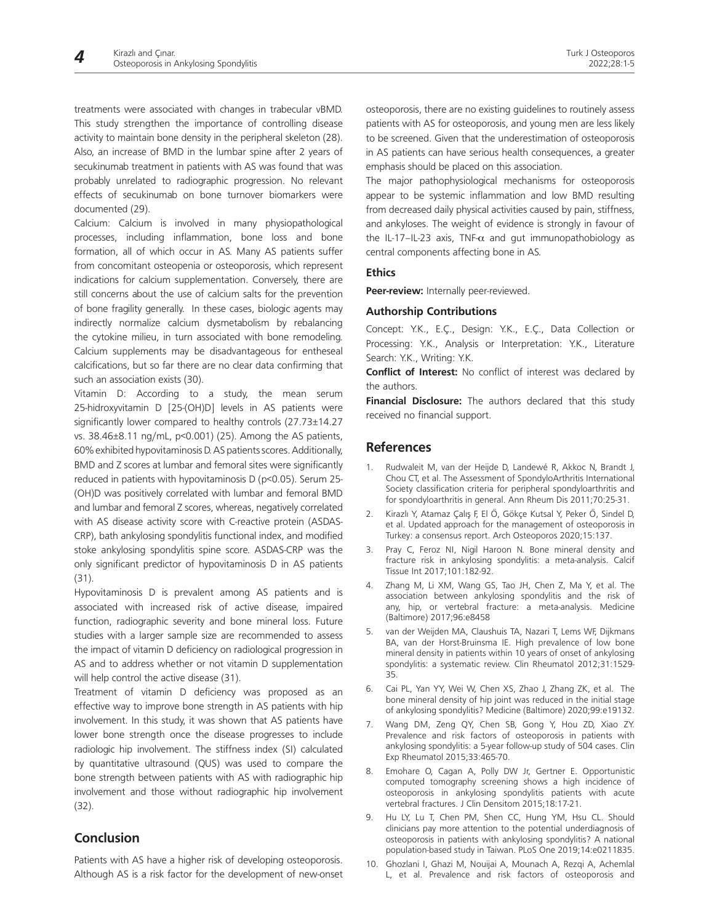treatments were associated with changes in trabecular vBMD. This study strengthen the importance of controlling disease activity to maintain bone density in the peripheral skeleton (28). Also, an increase of BMD in the lumbar spine after 2 years of secukinumab treatment in patients with AS was found that was probably unrelated to radiographic progression. No relevant effects of secukinumab on bone turnover biomarkers were documented (29).

Calcium: Calcium is involved in many physiopathological processes, including inflammation, bone loss and bone formation, all of which occur in AS. Many AS patients suffer from concomitant osteopenia or osteoporosis, which represent indications for calcium supplementation. Conversely, there are still concerns about the use of calcium salts for the prevention of bone fragility generally. In these cases, biologic agents may indirectly normalize calcium dysmetabolism by rebalancing the cytokine milieu, in turn associated with bone remodeling. Calcium supplements may be disadvantageous for entheseal calcifications, but so far there are no clear data confirming that such an association exists (30).

Vitamin D: According to a study, the mean serum 25-hidroxyvitamin D [25-(OH)D] levels in AS patients were significantly lower compared to healthy controls (27.73±14.27 vs. 38.46±8.11 ng/mL, p<0.001) (25). Among the AS patients, 60% exhibited hypovitaminosis D. AS patients scores. Additionally, BMD and Z scores at lumbar and femoral sites were significantly reduced in patients with hypovitaminosis D (p<0.05). Serum 25- (OH)D was positively correlated with lumbar and femoral BMD and lumbar and femoral Z scores, whereas, negatively correlated with AS disease activity score with C-reactive protein (ASDAS-CRP), bath ankylosing spondylitis functional index, and modified stoke ankylosing spondylitis spine score. ASDAS-CRP was the only significant predictor of hypovitaminosis D in AS patients (31).

Hypovitaminosis D is prevalent among AS patients and is associated with increased risk of active disease, impaired function, radiographic severity and bone mineral loss. Future studies with a larger sample size are recommended to assess the impact of vitamin D deficiency on radiological progression in AS and to address whether or not vitamin D supplementation will help control the active disease (31).

Treatment of vitamin D deficiency was proposed as an effective way to improve bone strength in AS patients with hip involvement. In this study, it was shown that AS patients have lower bone strength once the disease progresses to include radiologic hip involvement. The stiffness index (SI) calculated by quantitative ultrasound (QUS) was used to compare the bone strength between patients with AS with radiographic hip involvement and those without radiographic hip involvement (32).

# **Conclusion**

Patients with AS have a higher risk of developing osteoporosis. Although AS is a risk factor for the development of new-onset osteoporosis, there are no existing guidelines to routinely assess patients with AS for osteoporosis, and young men are less likely to be screened. Given that the underestimation of osteoporosis in AS patients can have serious health consequences, a greater emphasis should be placed on this association.

The major pathophysiological mechanisms for osteoporosis appear to be systemic inflammation and low BMD resulting from decreased daily physical activities caused by pain, stiffness, and ankyloses. The weight of evidence is strongly in favour of the IL-17–IL-23 axis, TNF- $\alpha$  and gut immunopathobiology as central components affecting bone in AS.

#### **Ethics**

**Peer-review:** Internally peer-reviewed.

#### **Authorship Contributions**

Concept: Y.K., E.Ç., Design: Y.K., E.Ç., Data Collection or Processing: Y.K., Analysis or Interpretation: Y.K., Literature Search: Y.K., Writing: Y.K.

**Conflict of Interest:** No conflict of interest was declared by the authors.

**Financial Disclosure:** The authors declared that this study received no financial support.

# **References**

- 1. Rudwaleit M, van der Heijde D, Landewé R, Akkoc N, Brandt J, Chou CT, et al. The Assessment of SpondyloArthritis International Society classification criteria for peripheral spondyloarthritis and for spondyloarthritis in general. Ann Rheum Dis 2011;70:25-31.
- 2. Kirazlı Y, Atamaz Çalış F, El Ö, Gökçe Kutsal Y, Peker Ö, Sindel D, et al. Updated approach for the management of osteoporosis in Turkey: a consensus report. Arch Osteoporos 2020;15:137.
- 3. Pray C, Feroz NI, Nigil Haroon N. Bone mineral density and fracture risk in ankylosing spondylitis: a meta-analysis. Calcif Tissue Int 2017;101:182-92.
- 4. Zhang M, Li XM, Wang GS, Tao JH, Chen Z, Ma Y, et al. The association between ankylosing spondylitis and the risk of any, hip, or vertebral fracture: a meta-analysis. Medicine (Baltimore) 2017;96:e8458
- 5. van der Weijden MA, Claushuis TA, Nazari T, Lems WF, Dijkmans BA, van der Horst-Bruinsma IE. High prevalence of low bone mineral density in patients within 10 years of onset of ankylosing spondylitis: a systematic review. Clin Rheumatol 2012;31:1529- 35.
- 6. Cai PL, Yan YY, Wei W, Chen XS, Zhao J, Zhang ZK, et al. The bone mineral density of hip joint was reduced in the initial stage of ankylosing spondylitis? Medicine (Baltimore) 2020;99:e19132.
- 7. Wang DM, Zeng QY, Chen SB, Gong Y, Hou ZD, Xiao ZY. Prevalence and risk factors of osteoporosis in patients with ankylosing spondylitis: a 5-year follow-up study of 504 cases. Clin Exp Rheumatol 2015;33:465-70.
- 8. Emohare O, Cagan A, Polly DW Jr, Gertner E. Opportunistic computed tomography screening shows a high incidence of osteoporosis in ankylosing spondylitis patients with acute vertebral fractures. J Clin Densitom 2015;18:17-21.
- 9. Hu LY, Lu T, Chen PM, Shen CC, Hung YM, Hsu CL. Should clinicians pay more attention to the potential underdiagnosis of osteoporosis in patients with ankylosing spondylitis? A national population-based study in Taiwan. PLoS One 2019;14:e0211835.
- 10. Ghozlani I, Ghazi M, Nouijai A, Mounach A, Rezqi A, Achemlal L, et al. Prevalence and risk factors of osteoporosis and